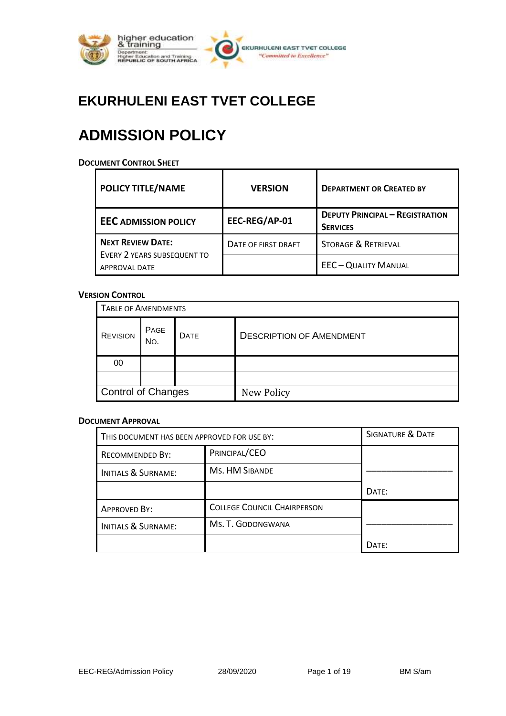

## **EKURHULENI EAST TVET COLLEGE**

# **ADMISSION POLICY**

#### **DOCUMENT CONTROL SHEET**

| <b>POLICY TITLE/NAME</b>                            | <b>VERSION</b>      | <b>DEPARTMENT OR CREATED BY</b>                           |
|-----------------------------------------------------|---------------------|-----------------------------------------------------------|
| <b>EEC ADMISSION POLICY</b>                         | EEC-REG/AP-01       | <b>DEPUTY PRINCIPAL - REGISTRATION</b><br><b>SERVICES</b> |
| NEXT REVIEW DATE:                                   | DATE OF FIRST DRAFT | <b>STORAGE &amp; RETRIEVAL</b>                            |
| EVERY 2 YEARS SUBSEQUENT TO<br><b>APPROVAL DATE</b> |                     | <b>EEC-QUALITY MANUAL</b>                                 |

#### **VERSION CONTROL**

| <b>TABLE OF AMENDMENTS</b> |             |             |                                 |
|----------------------------|-------------|-------------|---------------------------------|
| <b>REVISION</b>            | PAGE<br>No. | <b>DATE</b> | <b>DESCRIPTION OF AMENDMENT</b> |
| 00                         |             |             |                                 |
|                            |             |             |                                 |
| Control of Changes         |             |             | New Policy                      |

#### **DOCUMENT APPROVAL**

| THIS DOCUMENT HAS BEEN APPROVED FOR USE BY: |                                    | SIGNATURE & DATE |
|---------------------------------------------|------------------------------------|------------------|
| RECOMMENDED BY:                             | PRINCIPAL/CEO                      |                  |
| <b>INITIALS &amp; SURNAME:</b>              | <b>Ms. HM SIBANDE</b>              |                  |
|                                             |                                    | DATE:            |
| <b>APPROVED BY:</b>                         | <b>COLLEGE COUNCIL CHAIRPERSON</b> |                  |
| <b>INITIALS &amp; SURNAME:</b>              | Ms. T. GODONGWANA                  |                  |
|                                             |                                    | DATF:            |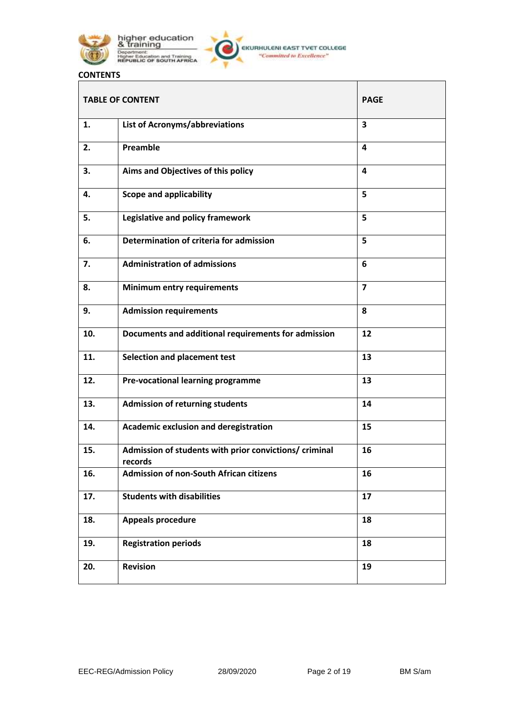

higher education<br>& training Department:<br>Higher Education and Training<br>REPUBLIC OF SOUTH AFRICA

## **CONTENTS**

| <b>TABLE OF CONTENT</b> |                                                                  | <b>PAGE</b>             |
|-------------------------|------------------------------------------------------------------|-------------------------|
| 1.                      | List of Acronyms/abbreviations                                   | 3                       |
| 2.                      | Preamble                                                         | 4                       |
| 3.                      | Aims and Objectives of this policy                               | 4                       |
| 4.                      | <b>Scope and applicability</b>                                   | 5                       |
| 5.                      | Legislative and policy framework                                 | 5                       |
| 6.                      | Determination of criteria for admission                          | 5                       |
| 7.                      | <b>Administration of admissions</b>                              | 6                       |
| 8.                      | <b>Minimum entry requirements</b>                                | $\overline{\mathbf{z}}$ |
| 9.                      | <b>Admission requirements</b>                                    | 8                       |
| 10.                     | Documents and additional requirements for admission              | 12                      |
| 11.                     | <b>Selection and placement test</b>                              | 13                      |
| 12.                     | Pre-vocational learning programme                                | 13                      |
| 13.                     | <b>Admission of returning students</b>                           | 14                      |
| 14.                     | Academic exclusion and deregistration                            | 15                      |
| 15.                     | Admission of students with prior convictions/criminal<br>records | 16                      |
| 16.                     | <b>Admission of non-South African citizens</b>                   | 16                      |
| 17.                     | <b>Students with disabilities</b>                                | 17                      |
| 18.                     | <b>Appeals procedure</b>                                         | 18                      |
| 19.                     | <b>Registration periods</b>                                      | 18                      |
| 20.                     | <b>Revision</b>                                                  | 19                      |

┑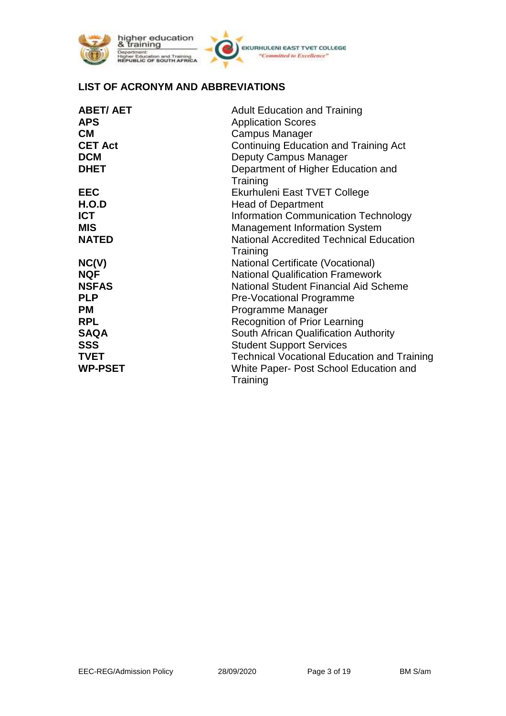

higher education<br>& training Department:<br>Higher Education and Training<br>REPUBLIC OF SOUTH AFRICA



#### **LIST OF ACRONYM AND ABBREVIATIONS**

| <b>ABET/AET</b> | <b>Adult Education and Training</b>                |
|-----------------|----------------------------------------------------|
| <b>APS</b>      | <b>Application Scores</b>                          |
| <b>CM</b>       | Campus Manager                                     |
| <b>CET Act</b>  | Continuing Education and Training Act              |
| <b>DCM</b>      | Deputy Campus Manager                              |
| <b>DHET</b>     | Department of Higher Education and                 |
|                 | Training                                           |
| <b>EEC</b>      | Ekurhuleni East TVET College                       |
| H.O.D           | <b>Head of Department</b>                          |
| <b>ICT</b>      | Information Communication Technology               |
| <b>MIS</b>      | <b>Management Information System</b>               |
| <b>NATED</b>    | <b>National Accredited Technical Education</b>     |
|                 | Training                                           |
| NC(V)           | National Certificate (Vocational)                  |
| <b>NQF</b>      | <b>National Qualification Framework</b>            |
| <b>NSFAS</b>    | National Student Financial Aid Scheme              |
| <b>PLP</b>      | Pre-Vocational Programme                           |
| РM              | Programme Manager                                  |
| <b>RPL</b>      | <b>Recognition of Prior Learning</b>               |
| <b>SAQA</b>     | South African Qualification Authority              |
| SSS             | <b>Student Support Services</b>                    |
| TVET            | <b>Technical Vocational Education and Training</b> |
| <b>WP-PSET</b>  | White Paper- Post School Education and             |
|                 | Training                                           |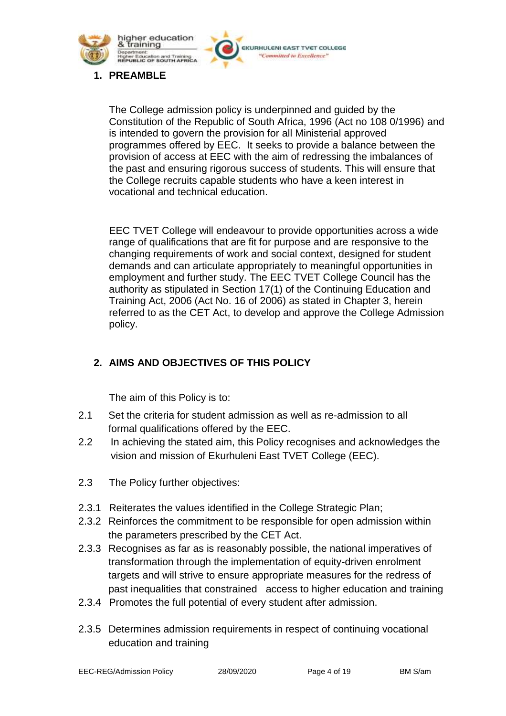

**1. PREAMBLE**

The College admission policy is underpinned and guided by the Constitution of the Republic of South Africa, 1996 (Act no 108 0/1996) and is intended to govern the provision for all Ministerial approved programmes offered by EEC. It seeks to provide a balance between the provision of access at EEC with the aim of redressing the imbalances of the past and ensuring rigorous success of students. This will ensure that the College recruits capable students who have a keen interest in vocational and technical education.

EKURHULENI EAST TVET COLLEGE "Committed to Excellence"

EEC TVET College will endeavour to provide opportunities across a wide range of qualifications that are fit for purpose and are responsive to the changing requirements of work and social context, designed for student demands and can articulate appropriately to meaningful opportunities in employment and further study. The EEC TVET College Council has the authority as stipulated in Section 17(1) of the Continuing Education and Training Act, 2006 (Act No. 16 of 2006) as stated in Chapter 3, herein referred to as the CET Act, to develop and approve the College Admission policy.

## **2. AIMS AND OBJECTIVES OF THIS POLICY**

The aim of this Policy is to:

- 2.1 Set the criteria for student admission as well as re-admission to all formal qualifications offered by the EEC.
- 2.2 In achieving the stated aim, this Policy recognises and acknowledges the vision and mission of Ekurhuleni East TVET College (EEC).
- 2.3 The Policy further objectives:
- 2.3.1 Reiterates the values identified in the College Strategic Plan;
- 2.3.2 Reinforces the commitment to be responsible for open admission within the parameters prescribed by the CET Act.
- 2.3.3 Recognises as far as is reasonably possible, the national imperatives of transformation through the implementation of equity-driven enrolment targets and will strive to ensure appropriate measures for the redress of past inequalities that constrained access to higher education and training
- 2.3.4 Promotes the full potential of every student after admission.
- 2.3.5 Determines admission requirements in respect of continuing vocational education and training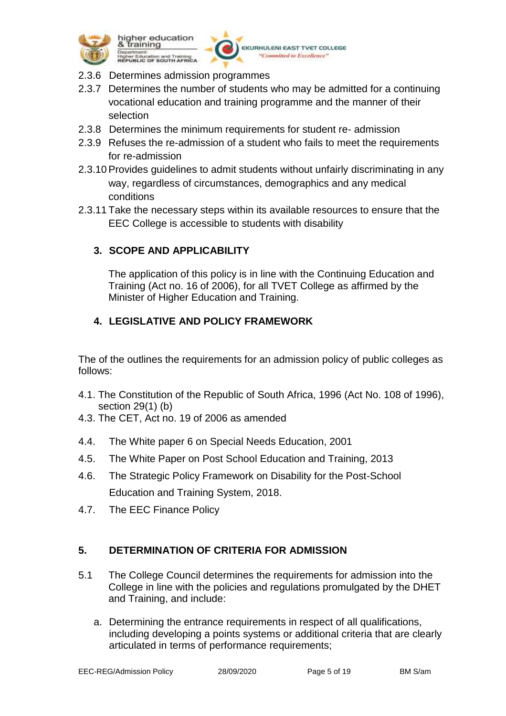

higher education training Higher Education and Training<br>REPUBLIC OF SOUTH AFRICA

**EKURHULENI EAST TVET COLLEGE** "Committed to Excellence"

- 2.3.6 Determines admission programmes
- 2.3.7 Determines the number of students who may be admitted for a continuing vocational education and training programme and the manner of their selection
- 2.3.8 Determines the minimum requirements for student re- admission
- 2.3.9 Refuses the re-admission of a student who fails to meet the requirements for re-admission
- 2.3.10Provides guidelines to admit students without unfairly discriminating in any way, regardless of circumstances, demographics and any medical conditions
- 2.3.11 Take the necessary steps within its available resources to ensure that the EEC College is accessible to students with disability

## **3. SCOPE AND APPLICABILITY**

The application of this policy is in line with the Continuing Education and Training (Act no. 16 of 2006), for all TVET College as affirmed by the Minister of Higher Education and Training.

## **4. LEGISLATIVE AND POLICY FRAMEWORK**

The of the outlines the requirements for an admission policy of public colleges as follows:

- 4.1. The Constitution of the Republic of South Africa, 1996 (Act No. 108 of 1996), section 29(1) (b)
- 4.3. The CET, Act no. 19 of 2006 as amended
- 4.4. The White paper 6 on Special Needs Education, 2001
- 4.5. The White Paper on Post School Education and Training, 2013
- 4.6. The Strategic Policy Framework on Disability for the Post-School Education and Training System, 2018.
- 4.7. The EEC Finance Policy

## **5. DETERMINATION OF CRITERIA FOR ADMISSION**

- 5.1 The College Council determines the requirements for admission into the College in line with the policies and regulations promulgated by the DHET and Training, and include:
	- a. Determining the entrance requirements in respect of all qualifications, including developing a points systems or additional criteria that are clearly articulated in terms of performance requirements;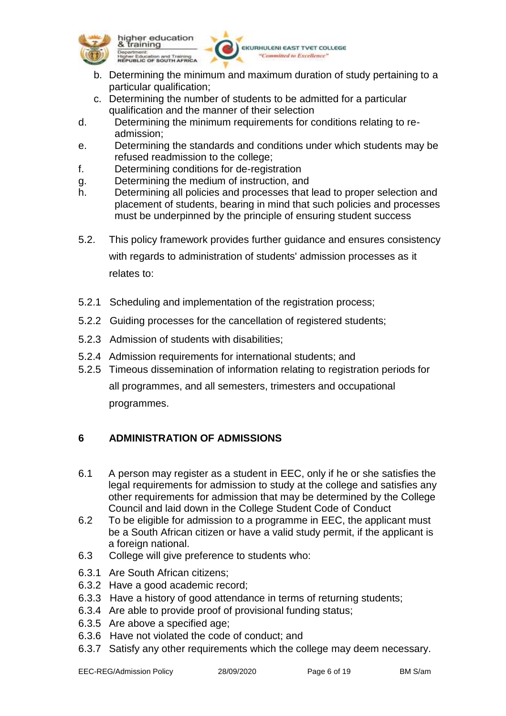



EKURHULENI EAST TVET COLLEGE "Committed to Excellence"

- b. Determining the minimum and maximum duration of study pertaining to a particular qualification;
- c. Determining the number of students to be admitted for a particular qualification and the manner of their selection
- d. Determining the minimum requirements for conditions relating to readmission;
- e. Determining the standards and conditions under which students may be refused readmission to the college;
- f. Determining conditions for de-registration
- g. Determining the medium of instruction, and
- h. Determining all policies and processes that lead to proper selection and placement of students, bearing in mind that such policies and processes must be underpinned by the principle of ensuring student success
- 5.2. This policy framework provides further guidance and ensures consistency with regards to administration of students' admission processes as it relates to:
- 5.2.1 Scheduling and implementation of the registration process;
- 5.2.2 Guiding processes for the cancellation of registered students;
- 5.2.3 Admission of students with disabilities;
- 5.2.4 Admission requirements for international students; and
- 5.2.5 Timeous dissemination of information relating to registration periods for all programmes, and all semesters, trimesters and occupational programmes.

## **6 ADMINISTRATION OF ADMISSIONS**

- 6.1 A person may register as a student in EEC, only if he or she satisfies the legal requirements for admission to study at the college and satisfies any other requirements for admission that may be determined by the College Council and laid down in the College Student Code of Conduct
- 6.2 To be eligible for admission to a programme in EEC, the applicant must be a South African citizen or have a valid study permit, if the applicant is a foreign national.
- 6.3 College will give preference to students who:
- 6.3.1 Are South African citizens;
- 6.3.2 Have a good academic record;
- 6.3.3 Have a history of good attendance in terms of returning students;
- 6.3.4 Are able to provide proof of provisional funding status;
- 6.3.5 Are above a specified age;
- 6.3.6 Have not violated the code of conduct; and
- 6.3.7 Satisfy any other requirements which the college may deem necessary.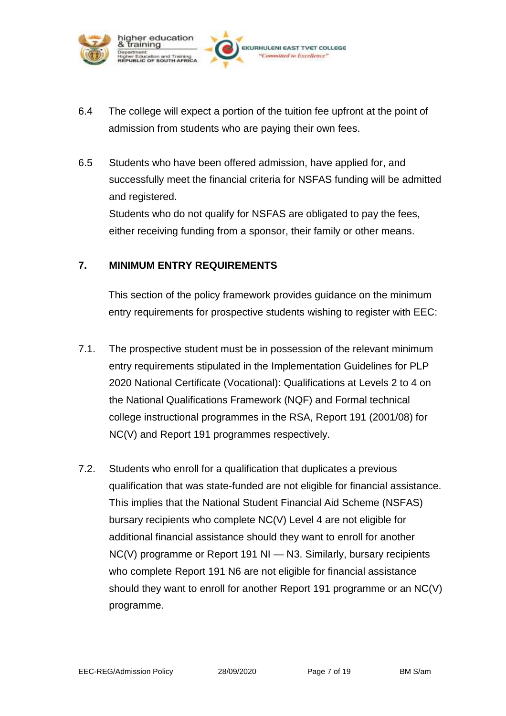

- 6.4 The college will expect a portion of the tuition fee upfront at the point of admission from students who are paying their own fees.
- 6.5 Students who have been offered admission, have applied for, and successfully meet the financial criteria for NSFAS funding will be admitted and registered.

Students who do not qualify for NSFAS are obligated to pay the fees, either receiving funding from a sponsor, their family or other means.

## **7. MINIMUM ENTRY REQUIREMENTS**

This section of the policy framework provides guidance on the minimum entry requirements for prospective students wishing to register with EEC:

- 7.1. The prospective student must be in possession of the relevant minimum entry requirements stipulated in the Implementation Guidelines for PLP 2020 National Certificate (Vocational): Qualifications at Levels 2 to 4 on the National Qualifications Framework (NQF) and Formal technical college instructional programmes in the RSA, Report 191 (2001/08) for NC(V) and Report 191 programmes respectively.
- 7.2. Students who enroll for a qualification that duplicates a previous qualification that was state-funded are not eligible for financial assistance. This implies that the National Student Financial Aid Scheme (NSFAS) bursary recipients who complete NC(V) Level 4 are not eligible for additional financial assistance should they want to enroll for another NC(V) programme or Report 191 NI - N3. Similarly, bursary recipients who complete Report 191 N6 are not eligible for financial assistance should they want to enroll for another Report 191 programme or an NC(V) programme.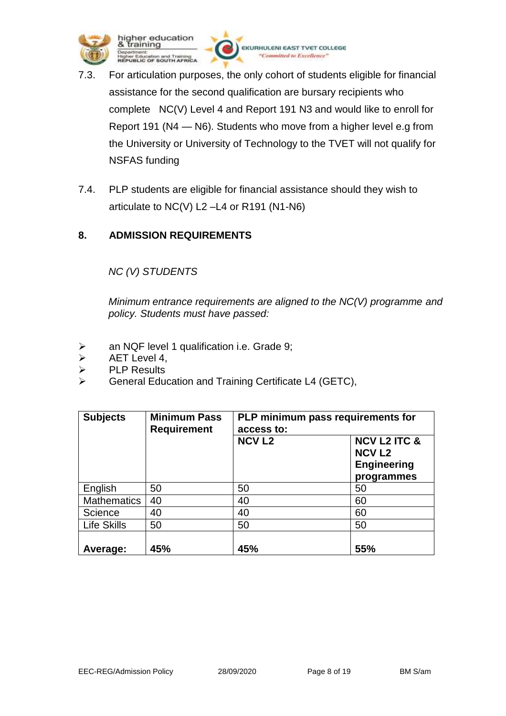

- 7.3. For articulation purposes, the only cohort of students eligible for financial assistance for the second qualification are bursary recipients who complete NC(V) Level 4 and Report 191 N3 and would like to enroll for Report 191 (N4 — N6). Students who move from a higher level e.g from the University or University of Technology to the TVET will not qualify for NSFAS funding
- 7.4. PLP students are eligible for financial assistance should they wish to articulate to NC(V) L2 –L4 or R191 (N1-N6)

## **8. ADMISSION REQUIREMENTS**

## *NC (V) STUDENTS*

*Minimum entrance requirements are aligned to the NC(V) programme and policy. Students must have passed:*

- an NQF level 1 qualification i.e. Grade 9;
- AET Level 4,
- $\triangleright$  PLP Results
- General Education and Training Certificate L4 (GETC),

| <b>Subjects</b>    | <b>Minimum Pass</b><br><b>Requirement</b> | PLP minimum pass requirements for<br>access to: |                                                                              |
|--------------------|-------------------------------------------|-------------------------------------------------|------------------------------------------------------------------------------|
|                    |                                           | <b>NCV L2</b>                                   | <b>NCV L2 ITC &amp;</b><br><b>NCV L2</b><br><b>Engineering</b><br>programmes |
| English            | 50                                        | 50                                              | 50                                                                           |
| <b>Mathematics</b> | 40                                        | 40                                              | 60                                                                           |
| Science            | 40                                        | 40                                              | 60                                                                           |
| Life Skills        | 50                                        | 50                                              | 50                                                                           |
| Average:           | 45%                                       | 45%                                             | 55%                                                                          |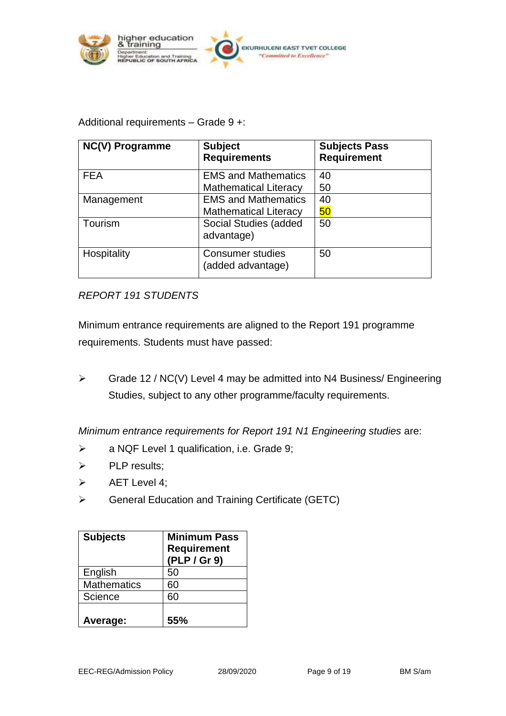

#### Additional requirements – Grade 9 +:

| <b>NC(V) Programme</b> | <b>Subject</b><br><b>Requirements</b>                      | <b>Subjects Pass</b><br><b>Requirement</b> |
|------------------------|------------------------------------------------------------|--------------------------------------------|
| <b>FEA</b>             | <b>EMS and Mathematics</b><br><b>Mathematical Literacy</b> | 40<br>50                                   |
| Management             | <b>EMS and Mathematics</b><br><b>Mathematical Literacy</b> | 40<br>50                                   |
| Tourism                | Social Studies (added<br>advantage)                        | 50                                         |
| Hospitality            | <b>Consumer studies</b><br>(added advantage)               | 50                                         |

#### *REPORT 191 STUDENTS*

Minimum entrance requirements are aligned to the Report 191 programme requirements. Students must have passed:

 $\triangleright$  Grade 12 / NC(V) Level 4 may be admitted into N4 Business/ Engineering Studies, subject to any other programme/faculty requirements.

*Minimum entrance requirements for Report 191 N1 Engineering studies* are:

- a NQF Level 1 qualification, i.e. Grade 9;
- $\triangleright$  PLP results;
- $\triangleright$  AET Level 4;
- General Education and Training Certificate (GETC)

| <b>Subjects</b>    | <b>Minimum Pass</b><br><b>Requirement</b><br>(PLP / Gr 9) |
|--------------------|-----------------------------------------------------------|
| English            | 50                                                        |
| <b>Mathematics</b> | 60                                                        |
| Science            | 60                                                        |
| Average:           | 55%                                                       |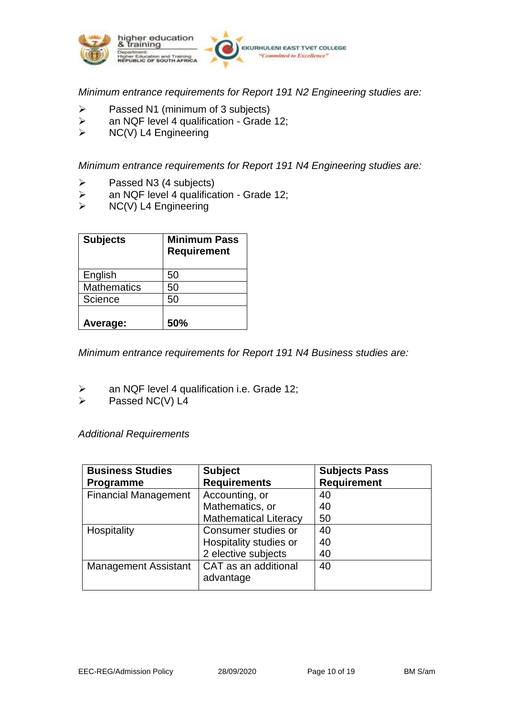

*Minimum entrance requirements for Report 191 N2 Engineering studies are:*

- $\ge$  Passed N1 (minimum of 3 subjects)<br>  $\ge$  an NQF level 4 qualification Grade
- an NQF level 4 qualification Grade 12;
- $\triangleright$  NC(V) L4 Engineering

*Minimum entrance requirements for Report 191 N4 Engineering studies are:*

- $\triangleright$  Passed N3 (4 subjects)
- $\triangleright$  an NQF level 4 qualification Grade 12;
- $\triangleright$  NC(V) L4 Engineering

| <b>Subjects</b>    | <b>Minimum Pass</b><br><b>Requirement</b> |
|--------------------|-------------------------------------------|
| English            | 50                                        |
| <b>Mathematics</b> | 50                                        |
| Science            | 50                                        |
| Average:           | 50%                                       |

*Minimum entrance requirements for Report 191 N4 Business studies are:*

- $\triangleright$  an NQF level 4 qualification i.e. Grade 12;
- $\triangleright$  Passed NC(V) L4

*Additional Requirements*

| <b>Business Studies</b>     | <b>Subject</b>               | <b>Subjects Pass</b> |
|-----------------------------|------------------------------|----------------------|
| Programme                   | <b>Requirements</b>          | <b>Requirement</b>   |
| <b>Financial Management</b> | Accounting, or               | 40                   |
|                             | Mathematics, or              | 40                   |
|                             | <b>Mathematical Literacy</b> | 50                   |
| Hospitality                 | Consumer studies or          | 40                   |
|                             | Hospitality studies or       | 40                   |
|                             | 2 elective subjects          | 40                   |
| <b>Management Assistant</b> | CAT as an additional         | 40                   |
|                             | advantage                    |                      |
|                             |                              |                      |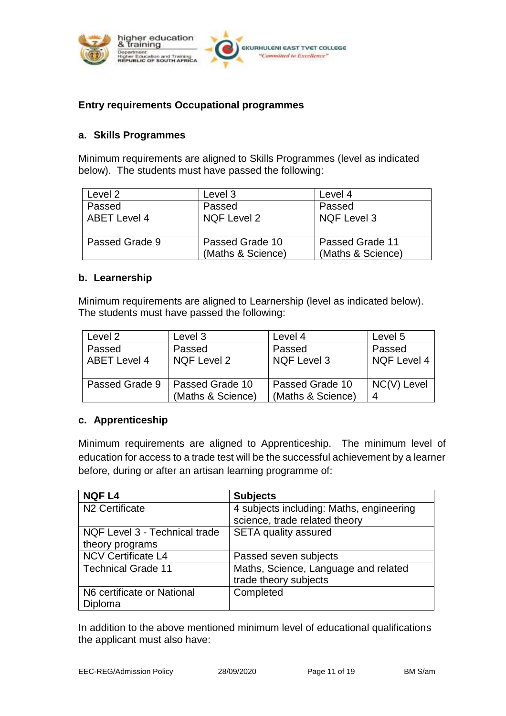

#### **Entry requirements Occupational programmes**

#### **a. Skills Programmes**

Minimum requirements are aligned to Skills Programmes (level as indicated below). The students must have passed the following:

| Level 2                       | Level 3                              | Level 4                              |
|-------------------------------|--------------------------------------|--------------------------------------|
| Passed<br><b>ABET Level 4</b> | Passed<br><b>NQF Level 2</b>         | Passed<br><b>NQF Level 3</b>         |
| Passed Grade 9                | Passed Grade 10<br>(Maths & Science) | Passed Grade 11<br>(Maths & Science) |

#### **b. Learnership**

Minimum requirements are aligned to Learnership (level as indicated below). The students must have passed the following:

| Level 2             | Level 3           | Level 4           | Level 5     |
|---------------------|-------------------|-------------------|-------------|
| Passed              | Passed            | Passed            | Passed      |
| <b>ABET Level 4</b> | NQF Level 2       | NQF Level 3       | NQF Level 4 |
|                     |                   |                   |             |
| Passed Grade 9      | l Passed Grade 10 | Passed Grade 10   | NC(V) Level |
|                     | (Maths & Science) | (Maths & Science) | 4           |

#### **c. Apprenticeship**

Minimum requirements are aligned to Apprenticeship. The minimum level of education for access to a trade test will be the successful achievement by a learner before, during or after an artisan learning programme of:

| <b>NQF L4</b>                 | <b>Subjects</b>                          |
|-------------------------------|------------------------------------------|
| N <sub>2</sub> Certificate    | 4 subjects including: Maths, engineering |
|                               | science, trade related theory            |
| NQF Level 3 - Technical trade | <b>SETA quality assured</b>              |
| theory programs               |                                          |
| <b>NCV Certificate L4</b>     | Passed seven subjects                    |
| <b>Technical Grade 11</b>     | Maths, Science, Language and related     |
|                               | trade theory subjects                    |
| N6 certificate or National    | Completed                                |
| Diploma                       |                                          |

In addition to the above mentioned minimum level of educational qualifications the applicant must also have: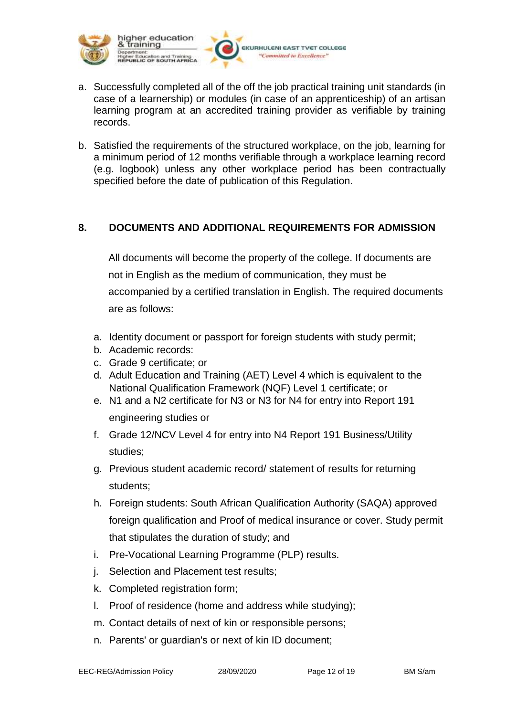

a. Successfully completed all of the off the job practical training unit standards (in case of a learnership) or modules (in case of an apprenticeship) of an artisan learning program at an accredited training provider as verifiable by training records.

EKURHULENI EAST TVET COLLEGE 'Committed to Excellence'

b. Satisfied the requirements of the structured workplace, on the job, learning for a minimum period of 12 months verifiable through a workplace learning record (e.g. logbook) unless any other workplace period has been contractually specified before the date of publication of this Regulation.

#### **8. DOCUMENTS AND ADDITIONAL REQUIREMENTS FOR ADMISSION**

All documents will become the property of the college. If documents are not in English as the medium of communication, they must be accompanied by a certified translation in English. The required documents are as follows:

- a. Identity document or passport for foreign students with study permit;
- b. Academic records:
- c. Grade 9 certificate; or
- d. Adult Education and Training (AET) Level 4 which is equivalent to the National Qualification Framework (NQF) Level 1 certificate; or
- e. N1 and a N2 certificate for N3 or N3 for N4 for entry into Report 191 engineering studies or
- f. Grade 12/NCV Level 4 for entry into N4 Report 191 Business/Utility studies;
- g. Previous student academic record/ statement of results for returning students;
- h. Foreign students: South African Qualification Authority (SAQA) approved foreign qualification and Proof of medical insurance or cover. Study permit that stipulates the duration of study; and
- i. Pre-Vocational Learning Programme (PLP) results.
- j. Selection and Placement test results;
- k. Completed registration form;
- l. Proof of residence (home and address while studying);
- m. Contact details of next of kin or responsible persons;
- n. Parents' or guardian's or next of kin ID document;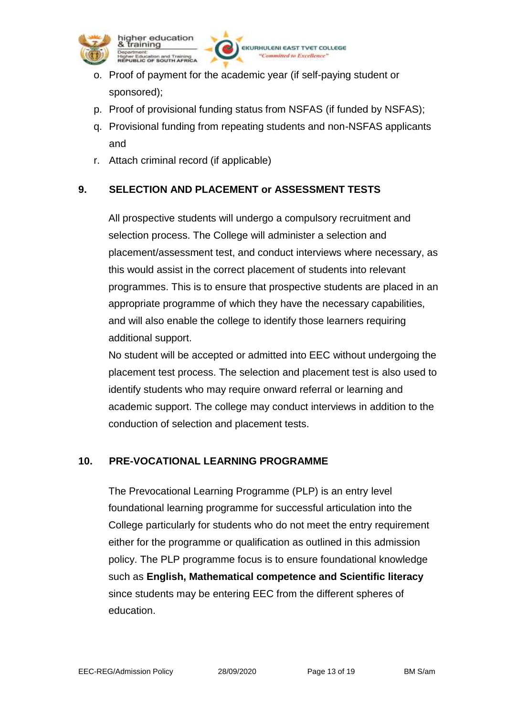

higher education training **Jucation and Training<br>IC OF SOUTH AFRICA** 

o. Proof of payment for the academic year (if self-paying student or sponsored);

p. Proof of provisional funding status from NSFAS (if funded by NSFAS);

**EKURHULENI E** 

Committed to Excellence

- q. Provisional funding from repeating students and non-NSFAS applicants and
- r. Attach criminal record (if applicable)

## **9. SELECTION AND PLACEMENT or ASSESSMENT TESTS**

All prospective students will undergo a compulsory recruitment and selection process. The College will administer a selection and placement/assessment test, and conduct interviews where necessary, as this would assist in the correct placement of students into relevant programmes. This is to ensure that prospective students are placed in an appropriate programme of which they have the necessary capabilities, and will also enable the college to identify those learners requiring additional support.

No student will be accepted or admitted into EEC without undergoing the placement test process. The selection and placement test is also used to identify students who may require onward referral or learning and academic support. The college may conduct interviews in addition to the conduction of selection and placement tests.

## **10. PRE-VOCATIONAL LEARNING PROGRAMME**

The Prevocational Learning Programme (PLP) is an entry level foundational learning programme for successful articulation into the College particularly for students who do not meet the entry requirement either for the programme or qualification as outlined in this admission policy. The PLP programme focus is to ensure foundational knowledge such as **English, Mathematical competence and Scientific literacy** since students may be entering EEC from the different spheres of education.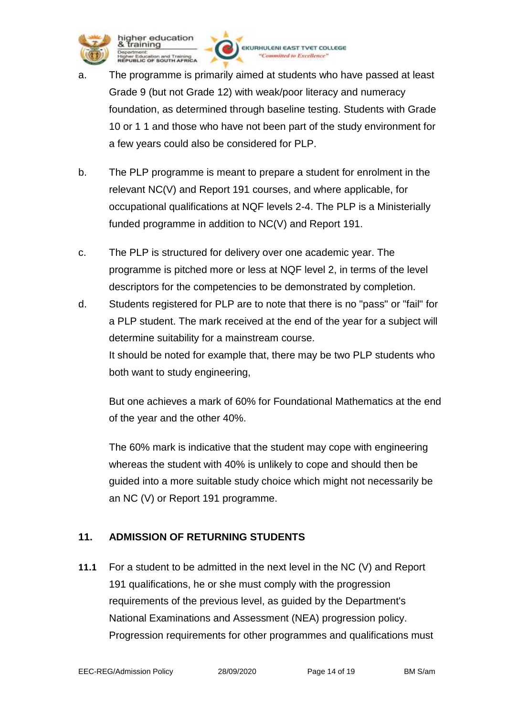

higher education training Iducation and Training<br>LIC OF SOUTH AFRICA

**EKURHULENI E TVET COLLEGE** Committed to Excellence'

- The programme is primarily aimed at students who have passed at least Grade 9 (but not Grade 12) with weak/poor literacy and numeracy foundation, as determined through baseline testing. Students with Grade 10 or 1 1 and those who have not been part of the study environment for a few years could also be considered for PLP.
- b. The PLP programme is meant to prepare a student for enrolment in the relevant NC(V) and Report 191 courses, and where applicable, for occupational qualifications at NQF levels 2-4. The PLP is a Ministerially funded programme in addition to NC(V) and Report 191.
- c. The PLP is structured for delivery over one academic year. The programme is pitched more or less at NQF level 2, in terms of the level descriptors for the competencies to be demonstrated by completion.
- d. Students registered for PLP are to note that there is no "pass" or "fail" for a PLP student. The mark received at the end of the year for a subject will determine suitability for a mainstream course. It should be noted for example that, there may be two PLP students who both want to study engineering,

But one achieves a mark of 60% for Foundational Mathematics at the end of the year and the other 40%.

The 60% mark is indicative that the student may cope with engineering whereas the student with 40% is unlikely to cope and should then be guided into a more suitable study choice which might not necessarily be an NC (V) or Report 191 programme.

## **11. ADMISSION OF RETURNING STUDENTS**

**11.1** For a student to be admitted in the next level in the NC (V) and Report 191 qualifications, he or she must comply with the progression requirements of the previous level, as guided by the Department's National Examinations and Assessment (NEA) progression policy. Progression requirements for other programmes and qualifications must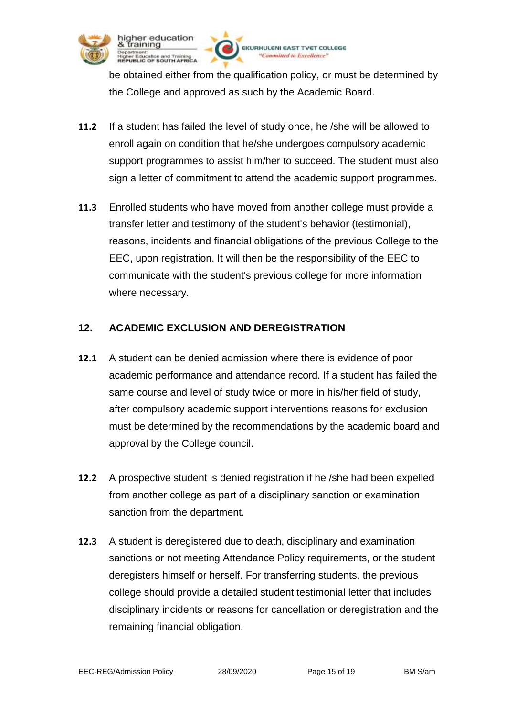

higher education training

Education and Training<br>LIC OF SOUTH AFRICA

be obtained either from the qualification policy, or must be determined by the College and approved as such by the Academic Board.

Committed to Excellence!

**VET COLLEGE** 

**EKURHULENI EAS** 

- **11.2** If a student has failed the level of study once, he /she will be allowed to enroll again on condition that he/she undergoes compulsory academic support programmes to assist him/her to succeed. The student must also sign a letter of commitment to attend the academic support programmes.
- **11.3** Enrolled students who have moved from another college must provide a transfer letter and testimony of the student's behavior (testimonial), reasons, incidents and financial obligations of the previous College to the EEC, upon registration. It will then be the responsibility of the EEC to communicate with the student's previous college for more information where necessary.

## **12. ACADEMIC EXCLUSION AND DEREGISTRATION**

- **12.1** A student can be denied admission where there is evidence of poor academic performance and attendance record. If a student has failed the same course and level of study twice or more in his/her field of study, after compulsory academic support interventions reasons for exclusion must be determined by the recommendations by the academic board and approval by the College council.
- **12.2** A prospective student is denied registration if he /she had been expelled from another college as part of a disciplinary sanction or examination sanction from the department.
- **12.3** A student is deregistered due to death, disciplinary and examination sanctions or not meeting Attendance Policy requirements, or the student deregisters himself or herself. For transferring students, the previous college should provide a detailed student testimonial letter that includes disciplinary incidents or reasons for cancellation or deregistration and the remaining financial obligation.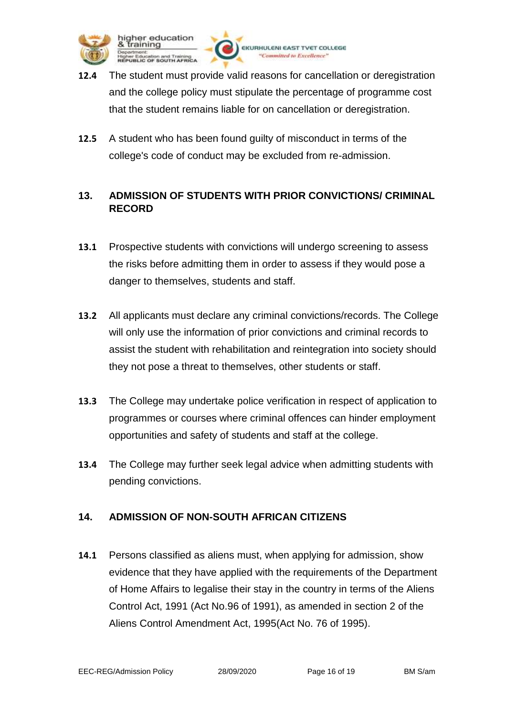

**EKURHULENI EAS** 

Committed to Excellence!

**VET COLLEGE** 

that the student remains liable for on cancellation or deregistration.

**12.5** A student who has been found guilty of misconduct in terms of the college's code of conduct may be excluded from re-admission.

## **13. ADMISSION OF STUDENTS WITH PRIOR CONVICTIONS/ CRIMINAL RECORD**

- **13.1** Prospective students with convictions will undergo screening to assess the risks before admitting them in order to assess if they would pose a danger to themselves, students and staff.
- **13.2** All applicants must declare any criminal convictions/records. The College will only use the information of prior convictions and criminal records to assist the student with rehabilitation and reintegration into society should they not pose a threat to themselves, other students or staff.
- **13.3** The College may undertake police verification in respect of application to programmes or courses where criminal offences can hinder employment opportunities and safety of students and staff at the college.
- **13.4** The College may further seek legal advice when admitting students with pending convictions.

## **14. ADMISSION OF NON-SOUTH AFRICAN CITIZENS**

**14.1** Persons classified as aliens must, when applying for admission, show evidence that they have applied with the requirements of the Department of Home Affairs to legalise their stay in the country in terms of the Aliens Control Act, 1991 (Act No.96 of 1991), as amended in section 2 of the Aliens Control Amendment Act, 1995(Act No. 76 of 1995).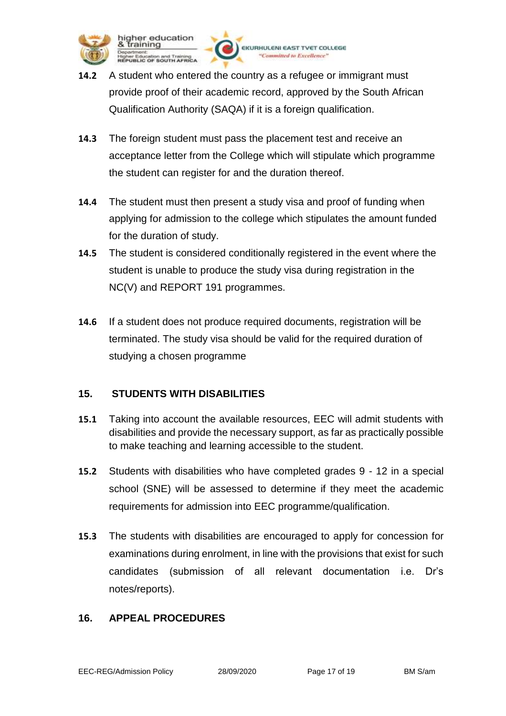

higher education training Education and Training<br>ILIC OF SOUTH AFRICA

**14.2** A student who entered the country as a refugee or immigrant must provide proof of their academic record, approved by the South African Qualification Authority (SAQA) if it is a foreign qualification.

**EKURHULENI EAST** 

Committed to Excellence"

**TVET COLLEGE** 

- **14.3** The foreign student must pass the placement test and receive an acceptance letter from the College which will stipulate which programme the student can register for and the duration thereof.
- **14.4** The student must then present a study visa and proof of funding when applying for admission to the college which stipulates the amount funded for the duration of study.
- **14.5** The student is considered conditionally registered in the event where the student is unable to produce the study visa during registration in the NC(V) and REPORT 191 programmes.
- **14.6** If a student does not produce required documents, registration will be terminated. The study visa should be valid for the required duration of studying a chosen programme

## **15. STUDENTS WITH DISABILITIES**

- **15.1** Taking into account the available resources, EEC will admit students with disabilities and provide the necessary support, as far as practically possible to make teaching and learning accessible to the student.
- **15.2** Students with disabilities who have completed grades 9 12 in a special school (SNE) will be assessed to determine if they meet the academic requirements for admission into EEC programme/qualification.
- **15.3** The students with disabilities are encouraged to apply for concession for examinations during enrolment, in line with the provisions that exist for such candidates (submission of all relevant documentation i.e. Dr's notes/reports).

#### **16. APPEAL PROCEDURES**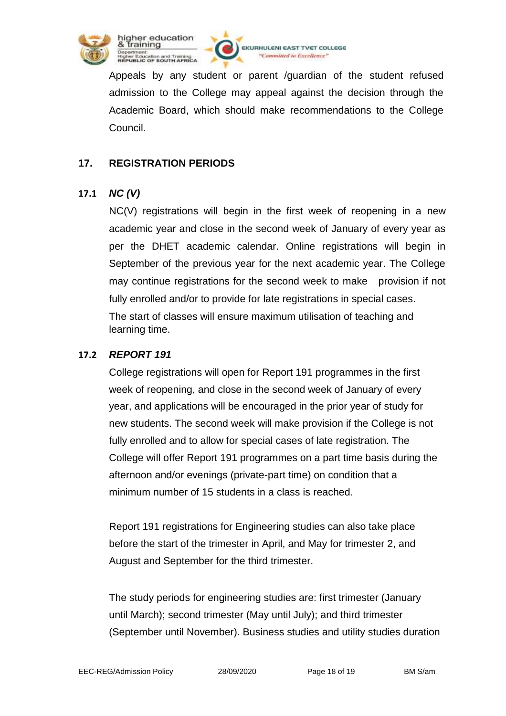



EKURHULENI EAST TVET COLLEGE "Committed to Excellence"

Appeals by any student or parent /guardian of the student refused admission to the College may appeal against the decision through the Academic Board, which should make recommendations to the College Council.

## **17. REGISTRATION PERIODS**

## **17.1** *NC (V)*

NC(V) registrations will begin in the first week of reopening in a new academic year and close in the second week of January of every year as per the DHET academic calendar. Online registrations will begin in September of the previous year for the next academic year. The College may continue registrations for the second week to make provision if not fully enrolled and/or to provide for late registrations in special cases. The start of classes will ensure maximum utilisation of teaching and learning time.

### **17.2** *REPORT 191*

College registrations will open for Report 191 programmes in the first week of reopening, and close in the second week of January of every year, and applications will be encouraged in the prior year of study for new students. The second week will make provision if the College is not fully enrolled and to allow for special cases of late registration. The College will offer Report 191 programmes on a part time basis during the afternoon and/or evenings (private-part time) on condition that a minimum number of 15 students in a class is reached.

Report 191 registrations for Engineering studies can also take place before the start of the trimester in April, and May for trimester 2, and August and September for the third trimester.

The study periods for engineering studies are: first trimester (January until March); second trimester (May until July); and third trimester (September until November). Business studies and utility studies duration